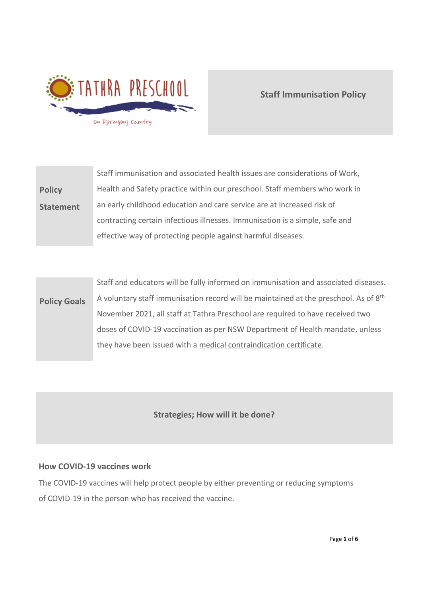

# **Staff Immunisation Policy**

|                  | Staff immunisation and associated health issues are considerations of Work,  |
|------------------|------------------------------------------------------------------------------|
| <b>Policy</b>    | Health and Safety practice within our preschool. Staff members who work in   |
| <b>Statement</b> | an early childhood education and care service are at increased risk of       |
|                  | contracting certain infectious illnesses. Immunisation is a simple, safe and |
|                  | effective way of protecting people against harmful diseases.                 |

| <b>Policy Goals</b> | Staff and educators will be fully informed on immunisation and associated diseases.              |
|---------------------|--------------------------------------------------------------------------------------------------|
|                     | A voluntary staff immunisation record will be maintained at the preschool. As of 8 <sup>th</sup> |
|                     | November 2021, all staff at Tathra Preschool are required to have received two                   |
|                     | doses of COVID-19 vaccination as per NSW Department of Health mandate, unless                    |
|                     | they have been issued with a medical contraindication certificate.                               |

# **Strategies; How will it be done?**

## **How COVID-19 vaccines work**

The COVID-19 vaccines will help protect people by either preventing or reducing symptoms of COVID-19 in the person who has received the vaccine.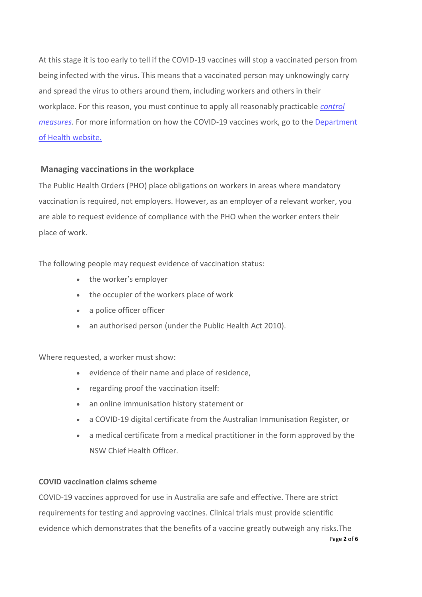At this stage it is too early to tell if the COVID-19 vaccines will stop a vaccinated person from being infected with the virus. This means that a vaccinated person may unknowingly carry and spread the virus to others around them, including workers and others in their workplace. For this reason, you must continue to apply all reasonably practicable *[control](https://www.safeworkaustralia.gov.au/glossary#control-measures)  [measures](https://www.safeworkaustralia.gov.au/glossary#control-measures)*. For more information on how the COVID-19 vaccines work, go to the [Department](https://www.health.gov.au/initiatives-and-programs/covid-19-vaccines)  [of Health website.](https://www.health.gov.au/initiatives-and-programs/covid-19-vaccines)

## **Managing vaccinations in the workplace**

The Public Health Orders (PHO) place obligations on workers in areas where mandatory vaccination is required, not employers. However, as an employer of a relevant worker, you are able to request evidence of compliance with the PHO when the worker enters their place of work.

The following people may request evidence of vaccination status:

- the worker's employer
- the occupier of the workers place of work
- a police officer officer
- an authorised person (under the Public Health Act 2010).

Where requested, a worker must show:

- evidence of their name and place of residence,
- regarding proof the vaccination itself:
- an online immunisation history statement or
- a COVID-19 digital certificate from the Australian Immunisation Register, or
- a medical certificate from a medical practitioner in the form approved by the NSW Chief Health Officer.

## **COVID vaccination claims scheme**

COVID-19 vaccines approved for use in Australia are safe and effective. There are strict requirements for testing and approving vaccines. Clinical trials must provide scientific evidence which demonstrates that the benefits of a vaccine greatly outweigh any risks.The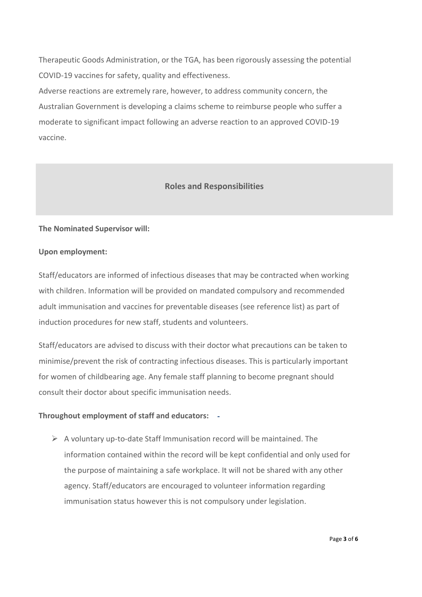Therapeutic Goods Administration, or the TGA, has been rigorously assessing the potential COVID-19 vaccines for safety, quality and effectiveness.

Adverse reactions are extremely rare, however, to address community concern, the Australian Government is developing a claims scheme to reimburse people who suffer a moderate to significant impact following an adverse reaction to an approved COVID-19 vaccine.

## **Roles and Responsibilities**

#### **The Nominated Supervisor will:**

#### **Upon employment:**

Staff/educators are informed of infectious diseases that may be contracted when working with children. Information will be provided on mandated compulsory and recommended adult immunisation and vaccines for preventable diseases (see reference list) as part of induction procedures for new staff, students and volunteers.

Staff/educators are advised to discuss with their doctor what precautions can be taken to minimise/prevent the risk of contracting infectious diseases. This is particularly important for women of childbearing age. Any female staff planning to become pregnant should consult their doctor about specific immunisation needs.

## **Throughout employment of staff and educators:**

 $\triangleright$  A voluntary up-to-date Staff Immunisation record will be maintained. The information contained within the record will be kept confidential and only used for the purpose of maintaining a safe workplace. It will not be shared with any other agency. Staff/educators are encouraged to volunteer information regarding immunisation status however this is not compulsory under legislation.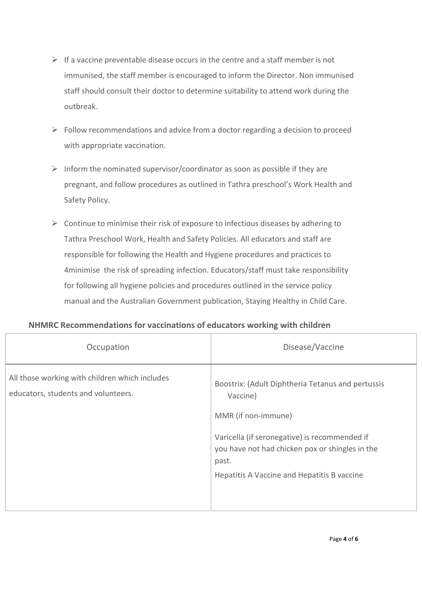- $\triangleright$  If a vaccine preventable disease occurs in the centre and a staff member is not immunised, the staff member is encouraged to inform the Director. Non immunised staff should consult their doctor to determine suitability to attend work during the outbreak.
- ➢ Follow recommendations and advice from a doctor regarding a decision to proceed with appropriate vaccination.
- $\triangleright$  Inform the nominated supervisor/coordinator as soon as possible if they are pregnant, and follow procedures as outlined in Tathra preschool's Work Health and Safety Policy.
- ➢ Continue to minimise their risk of exposure to infectious diseases by adhering to Tathra Preschool Work, Health and Safety Policies. All educators and staff are responsible for following the Health and Hygiene procedures and practices to 4minimise the risk of spreading infection. Educators/staff must take responsibility for following all hygiene policies and procedures outlined in the service policy manual and the Australian Government publication, Staying Healthy in Child Care.

# **NHMRC Recommendations for vaccinations of educators working with children**

| Occupation                                                                            | Disease/Vaccine                                                                                         |
|---------------------------------------------------------------------------------------|---------------------------------------------------------------------------------------------------------|
| All those working with children which includes<br>educators, students and volunteers. | Boostrix: (Adult Diphtheria Tetanus and pertussis<br>Vaccine)                                           |
|                                                                                       | MMR (if non-immune)<br>Varicella (if seronegative) is recommended if                                    |
|                                                                                       | you have not had chicken pox or shingles in the<br>past.<br>Hepatitis A Vaccine and Hepatitis B vaccine |
|                                                                                       |                                                                                                         |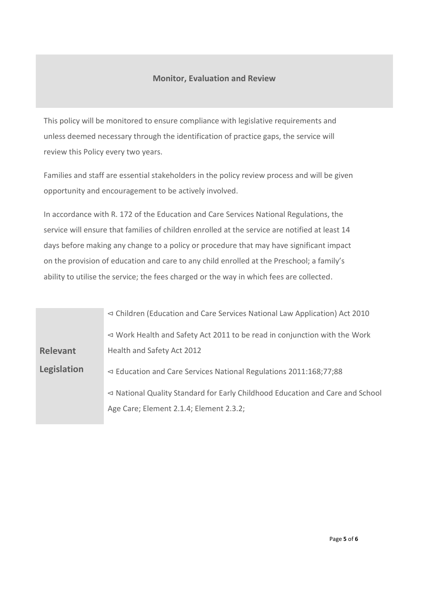## **Monitor, Evaluation and Review**

This policy will be monitored to ensure compliance with legislative requirements and unless deemed necessary through the identification of practice gaps, the service will review this Policy every two years.

Families and staff are essential stakeholders in the policy review process and will be given opportunity and encouragement to be actively involved.

In accordance with R. 172 of the Education and Care Services National Regulations, the service will ensure that families of children enrolled at the service are notified at least 14 days before making any change to a policy or procedure that may have significant impact on the provision of education and care to any child enrolled at the Preschool; a family's ability to utilise the service; the fees charged or the way in which fees are collected.

|                 | $\le$ Children (Education and Care Services National Law Application) Act 2010              |
|-----------------|---------------------------------------------------------------------------------------------|
|                 | $\triangleleft$ Work Health and Safety Act 2011 to be read in conjunction with the Work     |
| <b>Relevant</b> | Health and Safety Act 2012                                                                  |
| Legislation     | $\leq$ Education and Care Services National Regulations 2011:168;77;88                      |
|                 | $\triangleleft$ National Quality Standard for Early Childhood Education and Care and School |
|                 | Age Care; Element 2.1.4; Element 2.3.2;                                                     |